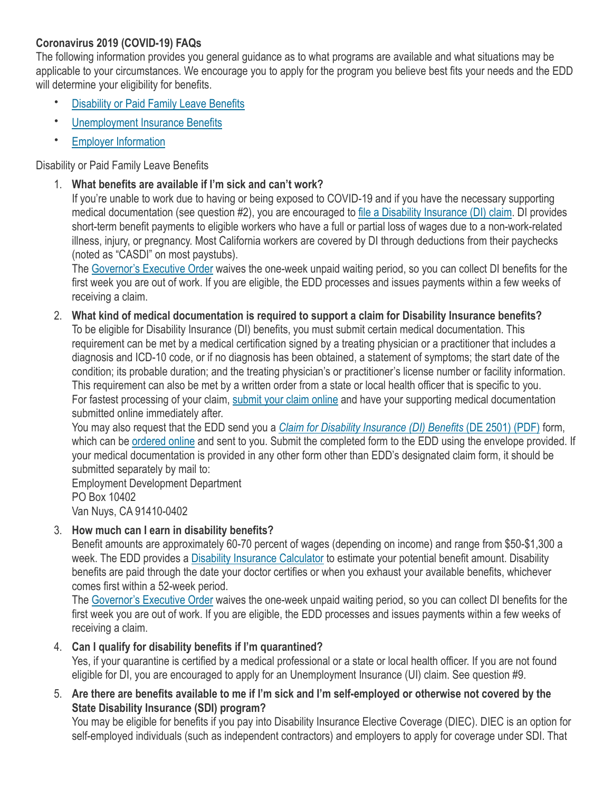# **Coronavirus 2019 (COVID-19) FAQs**

The following information provides you general guidance as to what programs are available and what situations may be applicable to your circumstances. We encourage you to apply for the program you believe best fits your needs and the EDD will determine your eligibility for benefits.

- [Disability or Paid Family Leave Benefits](https://edd.ca.gov/about_edd/coronavirus-2019/faqs.htm#DIBenefits)
- [Unemployment Insurance Benefits](https://edd.ca.gov/about_edd/coronavirus-2019/faqs.htm#UIBenefits)
- **[Employer Information](https://edd.ca.gov/about_edd/coronavirus-2019/faqs.htm#employer)**

### Disability or Paid Family Leave Benefits

1. **What benefits are available if I'm sick and can't work?**

If you're unable to work due to having or being exposed to COVID-19 and if you have the necessary supporting medical documentation (see question #2), you are encouraged to [file a Disability Insurance \(DI\) claim](https://edd.ca.gov/Disability/How_to_File_a_DI_Claim_in_SDI_Online.htm). DI provides short-term benefit payments to eligible workers who have a full or partial loss of wages due to a non-work-related illness, injury, or pregnancy. Most California workers are covered by DI through deductions from their paychecks (noted as "CASDI" on most paystubs).

The [Governor's Executive Order](https://www.gov.ca.gov/2020/03/12/governor-newsom-issues-new-executive-order-further-enhancing-state-and-local-governments-ability-to-respond-to-covid-19-pandemic/) waives the one-week unpaid waiting period, so you can collect DI benefits for the first week you are out of work. If you are eligible, the EDD processes and issues payments within a few weeks of receiving a claim.

2. **What kind of medical documentation is required to support a claim for Disability Insurance benefits?** To be eligible for Disability Insurance (DI) benefits, you must submit certain medical documentation. This requirement can be met by a medical certification signed by a treating physician or a practitioner that includes a diagnosis and ICD-10 code, or if no diagnosis has been obtained, a statement of symptoms; the start date of the condition; its probable duration; and the treating physician's or practitioner's license number or facility information. This requirement can also be met by a written order from a state or local health officer that is specific to you. For fastest processing of your claim, [submit your claim online](https://edd.ca.gov/Disability/SDI_Online.htm) and have your supporting medical documentation submitted online immediately after.

You may also request that the EDD send you a *[Claim for Disability Insurance \(DI\) Benefits](https://edd.ca.gov/pdf_pub_ctr/de2501.pdf)* (DE 2501) (PDF) form, which can be [ordered online](https://edd.ca.gov/Disability/How_to_File_a_DI_Claim_by_Mail.htm) and sent to you. Submit the completed form to the EDD using the envelope provided. If your medical documentation is provided in any other form other than EDD's designated claim form, it should be submitted separately by mail to:

Employment Development Department PO Box 10402 Van Nuys, CA 91410-0402

### 3. **How much can I earn in disability benefits?**

Benefit amounts are approximately 60-70 percent of wages (depending on income) and range from \$50-\$1,300 a week. The EDD provides a [Disability Insurance Calculator](https://edd.ca.gov/Disability/PFL_Calculator.htm) to estimate your potential benefit amount. Disability benefits are paid through the date your doctor certifies or when you exhaust your available benefits, whichever comes first within a 52-week period.

The [Governor's Executive Order](https://www.gov.ca.gov/2020/03/12/governor-newsom-issues-new-executive-order-further-enhancing-state-and-local-governments-ability-to-respond-to-covid-19-pandemic/) waives the one-week unpaid waiting period, so you can collect DI benefits for the first week you are out of work. If you are eligible, the EDD processes and issues payments within a few weeks of receiving a claim.

### 4. **Can I qualify for disability benefits if I'm quarantined?**

Yes, if your quarantine is certified by a medical professional or a state or local health officer. If you are not found eligible for DI, you are encouraged to apply for an Unemployment Insurance (UI) claim. See question #9.

5. **Are there are benefits available to me if I'm sick and I'm self-employed or otherwise not covered by the State Disability Insurance (SDI) program?**

You may be eligible for benefits if you pay into Disability Insurance Elective Coverage (DIEC). DIEC is an option for self-employed individuals (such as independent contractors) and employers to apply for coverage under SDI. That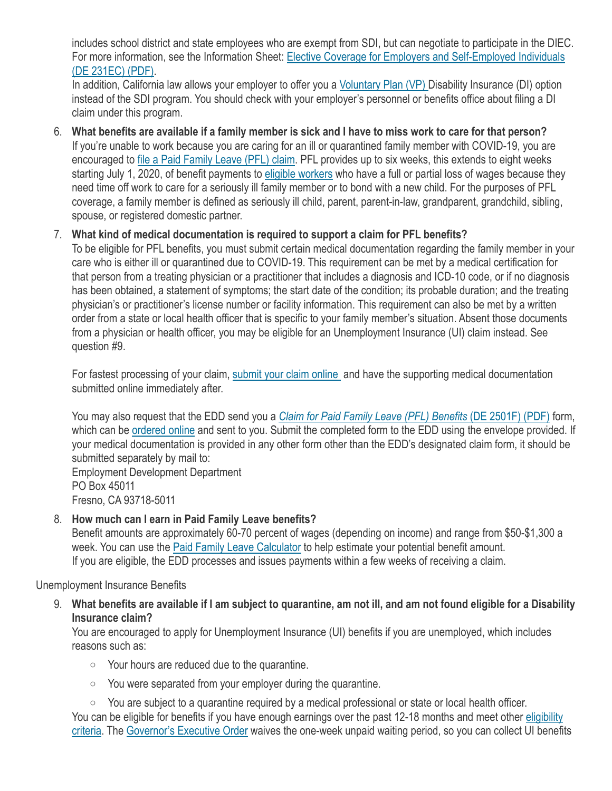includes school district and state employees who are exempt from SDI, but can negotiate to participate in the DIEC. For more information, see the Information Sheet: [Elective Coverage for Employers and Self-Employed Individuals](https://edd.ca.gov/pdf_pub_ctr/de231ec.pdf)  [\(DE 231EC\) \(PDF\).](https://edd.ca.gov/pdf_pub_ctr/de231ec.pdf)

In addition, California law allows your employer to offer you a [Voluntary Plan \(VP\)](https://edd.ca.gov/Disability/VP_Claim_Eligibility_Requirements.htm) Disability Insurance (DI) option instead of the SDI program. You should check with your employer's personnel or benefits office about filing a DI claim under this program.

6. **What benefits are available if a family member is sick and I have to miss work to care for that person?** If you're unable to work because you are caring for an ill or quarantined family member with COVID-19, you are encouraged to [file a Paid Family Leave \(PFL\) claim](https://edd.ca.gov/Disability/How_to_File_a_PFL_Claim_in_SDI_Online.htm). PFL provides up to six weeks, this extends to eight weeks starting July 1, 2020, of benefit payments to [eligible workers](https://edd.ca.gov/Disability/Am_I_Eligible_for_PFL_Benefits.htm) who have a full or partial loss of wages because they need time off work to care for a seriously ill family member or to bond with a new child. For the purposes of PFL coverage, a family member is defined as seriously ill child, parent, parent-in-law, grandparent, grandchild, sibling, spouse, or registered domestic partner.

### 7. **What kind of medical documentation is required to support a claim for PFL benefits?**

To be eligible for PFL benefits, you must submit certain medical documentation regarding the family member in your care who is either ill or quarantined due to COVID-19. This requirement can be met by a medical certification for that person from a treating physician or a practitioner that includes a diagnosis and ICD-10 code, or if no diagnosis has been obtained, a statement of symptoms; the start date of the condition; its probable duration; and the treating physician's or practitioner's license number or facility information. This requirement can also be met by a written order from a state or local health officer that is specific to your family member's situation. Absent those documents from a physician or health officer, you may be eligible for an Unemployment Insurance (UI) claim instead. See question #9.

For fastest processing of your claim, [submit your claim online](https://edd.ca.gov/Disability/SDI_Online.htm) and have the supporting medical documentation submitted online immediately after.

You may also request that the EDD send you a *[Claim for Paid Family Leave \(PFL\) Benefits](https://edd.ca.gov/pdf_pub_ctr/de2501f-sample.pdf)* (DE 2501F) (PDF) form, which can be [ordered online](https://edd.ca.gov/disability/How_to_File_a_PFL_Claim_by_Mail.htm) and sent to you. Submit the completed form to the EDD using the envelope provided. If your medical documentation is provided in any other form other than the EDD's designated claim form, it should be submitted separately by mail to: Employment Development Department

PO Box 45011 Fresno, CA 93718-5011

#### 8. **How much can I earn in Paid Family Leave benefits?**

Benefit amounts are approximately 60-70 percent of wages (depending on income) and range from \$50-\$1,300 a week. You can use the [Paid Family Leave Calculator](https://edd.ca.gov/Disability/PFL_Calculator.htm) to help estimate your potential benefit amount. If you are eligible, the EDD processes and issues payments within a few weeks of receiving a claim.

Unemployment Insurance Benefits

9. **What benefits are available if I am subject to quarantine, am not ill, and am not found eligible for a Disability Insurance claim?**

You are encouraged to apply for Unemployment Insurance (UI) benefits if you are unemployed, which includes reasons such as:

- o Your hours are reduced due to the quarantine.
- $\circ$  You were separated from your employer during the quarantine.
- o You are subject to a quarantine required by a medical professional or state or local health officer.

You can be eligible for benefits if you have enough earnings over the past 12-18 months and meet other [eligibility](https://edd.ca.gov/Unemployment/Eligibility.htm)  [criteria.](https://edd.ca.gov/Unemployment/Eligibility.htm) The [Governor's Executive Order](https://www.gov.ca.gov/2020/03/12/governor-newsom-issues-new-executive-order-further-enhancing-state-and-local-governments-ability-to-respond-to-covid-19-pandemic/) waives the one-week unpaid waiting period, so you can collect UI benefits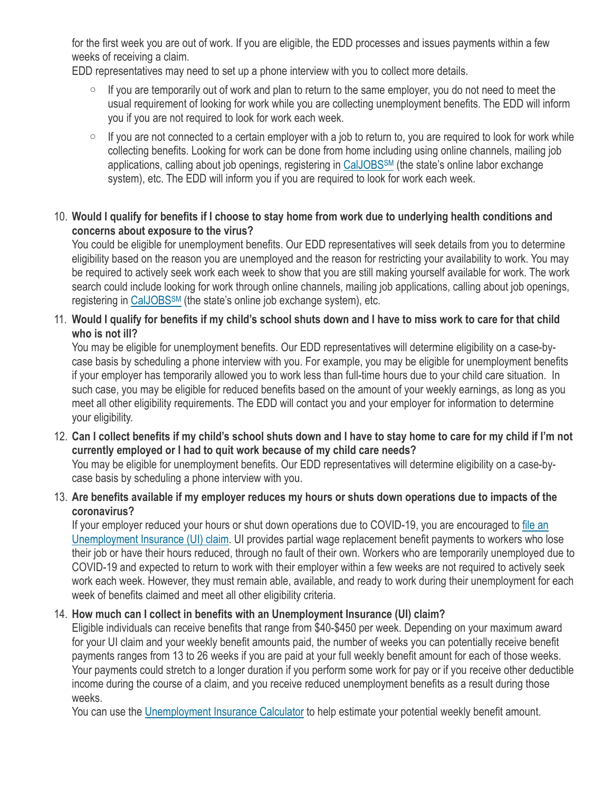for the first week you are out of work. If you are eligible, the EDD processes and issues payments within a few weeks of receiving a claim.

EDD representatives may need to set up a phone interview with you to collect more details.

- $\circ$  If you are temporarily out of work and plan to return to the same employer, you do not need to meet the usual requirement of looking for work while you are collecting unemployment benefits. The EDD will inform you if you are not required to look for work each week.
- $\circ$  If you are not connected to a certain employer with a job to return to, you are required to look for work while collecting benefits. Looking for work can be done from home including using online channels, mailing job applications, calling about job openings, registering in CalJOBS<sup>SM</sup> (the state's online labor exchange system), etc. The EDD will inform you if you are required to look for work each week.

# 10. **Would I qualify for benefits if I choose to stay home from work due to underlying health conditions and concerns about exposure to the virus?**

You could be eligible for unemployment benefits. Our EDD representatives will seek details from you to determine eligibility based on the reason you are unemployed and the reason for restricting your availability to work. You may be required to actively seek work each week to show that you are still making yourself available for work. The work search could include looking for work through online channels, mailing job applications, calling about job openings, registering in CalJOBS<sup>SM</sup> (the state's online job exchange system), etc.

#### 11. **Would I qualify for benefits if my child's school shuts down and I have to miss work to care for that child who is not ill?**

You may be eligible for unemployment benefits. Our EDD representatives will determine eligibility on a case-bycase basis by scheduling a phone interview with you. For example, you may be eligible for unemployment benefits if your employer has temporarily allowed you to work less than full-time hours due to your child care situation. In such case, you may be eligible for reduced benefits based on the amount of your weekly earnings, as long as you meet all other eligibility requirements. The EDD will contact you and your employer for information to determine your eligibility.

12. **Can I collect benefits if my child's school shuts down and I have to stay home to care for my child if I'm not currently employed or I had to quit work because of my child care needs?**

You may be eligible for unemployment benefits. Our EDD representatives will determine eligibility on a case-bycase basis by scheduling a phone interview with you.

13. **Are benefits available if my employer reduces my hours or shuts down operations due to impacts of the coronavirus?**

If your employer reduced your hours or shut down operations due to COVID-19, you are encouraged to [file an](https://edd.ca.gov/Unemployment/Filing_a_Claim.htm)  [Unemployment Insurance \(UI\) claim.](https://edd.ca.gov/Unemployment/Filing_a_Claim.htm) UI provides partial wage replacement benefit payments to workers who lose their job or have their hours reduced, through no fault of their own. Workers who are temporarily unemployed due to COVID-19 and expected to return to work with their employer within a few weeks are not required to actively seek work each week. However, they must remain able, available, and ready to work during their unemployment for each week of benefits claimed and meet all other eligibility criteria.

# 14. **How much can I collect in benefits with an Unemployment Insurance (UI) claim?**

Eligible individuals can receive benefits that range from \$40-\$450 per week. Depending on your maximum award for your UI claim and your weekly benefit amounts paid, the number of weeks you can potentially receive benefit payments ranges from 13 to 26 weeks if you are paid at your full weekly benefit amount for each of those weeks. Your payments could stretch to a longer duration if you perform some work for pay or if you receive other deductible income during the course of a claim, and you receive reduced unemployment benefits as a result during those weeks.

You can use the [Unemployment Insurance Calculator](https://edd.ca.gov/Unemployment/UI-Calculator.htm) to help estimate your potential weekly benefit amount.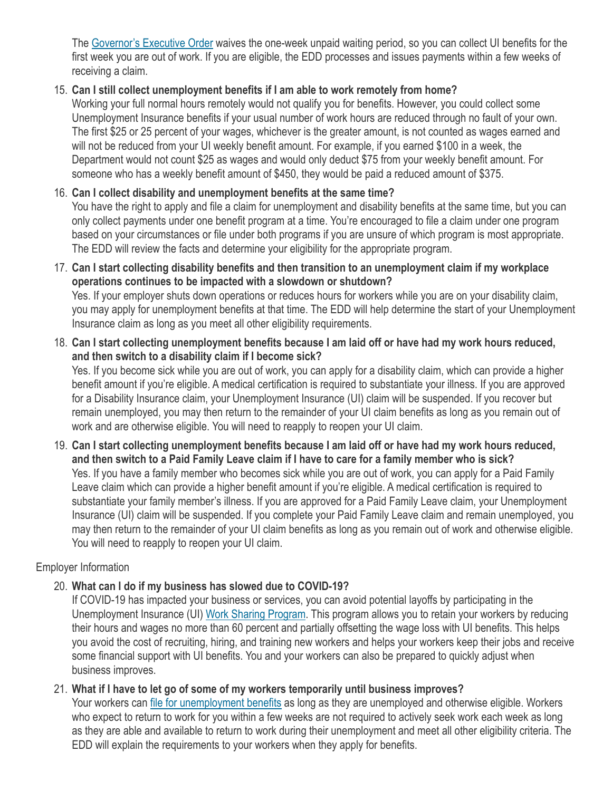The [Governor's Executive Order](https://www.gov.ca.gov/2020/03/12/governor-newsom-issues-new-executive-order-further-enhancing-state-and-local-governments-ability-to-respond-to-covid-19-pandemic/) waives the one-week unpaid waiting period, so you can collect UI benefits for the first week you are out of work. If you are eligible, the EDD processes and issues payments within a few weeks of receiving a claim.

### 15. **Can I still collect unemployment benefits if I am able to work remotely from home?**

Working your full normal hours remotely would not qualify you for benefits. However, you could collect some Unemployment Insurance benefits if your usual number of work hours are reduced through no fault of your own. The first \$25 or 25 percent of your wages, whichever is the greater amount, is not counted as wages earned and will not be reduced from your UI weekly benefit amount. For example, if you earned \$100 in a week, the Department would not count \$25 as wages and would only deduct \$75 from your weekly benefit amount. For someone who has a weekly benefit amount of \$450, they would be paid a reduced amount of \$375.

# 16. **Can I collect disability and unemployment benefits at the same time?**

You have the right to apply and file a claim for unemployment and disability benefits at the same time, but you can only collect payments under one benefit program at a time. You're encouraged to file a claim under one program based on your circumstances or file under both programs if you are unsure of which program is most appropriate. The EDD will review the facts and determine your eligibility for the appropriate program.

17. **Can I start collecting disability benefits and then transition to an unemployment claim if my workplace operations continues to be impacted with a slowdown or shutdown?**

Yes. If your employer shuts down operations or reduces hours for workers while you are on your disability claim, you may apply for unemployment benefits at that time. The EDD will help determine the start of your Unemployment Insurance claim as long as you meet all other eligibility requirements.

18. **Can I start collecting unemployment benefits because I am laid off or have had my work hours reduced, and then switch to a disability claim if I become sick?**

Yes. If you become sick while you are out of work, you can apply for a disability claim, which can provide a higher benefit amount if you're eligible. A medical certification is required to substantiate your illness. If you are approved for a Disability Insurance claim, your Unemployment Insurance (UI) claim will be suspended. If you recover but remain unemployed, you may then return to the remainder of your UI claim benefits as long as you remain out of work and are otherwise eligible. You will need to reapply to reopen your UI claim.

19. **Can I start collecting unemployment benefits because I am laid off or have had my work hours reduced, and then switch to a Paid Family Leave claim if I have to care for a family member who is sick?** Yes. If you have a family member who becomes sick while you are out of work, you can apply for a Paid Family Leave claim which can provide a higher benefit amount if you're eligible. A medical certification is required to substantiate your family member's illness. If you are approved for a Paid Family Leave claim, your Unemployment Insurance (UI) claim will be suspended. If you complete your Paid Family Leave claim and remain unemployed, you may then return to the remainder of your UI claim benefits as long as you remain out of work and otherwise eligible. You will need to reapply to reopen your UI claim.

### Employer Information

### 20. **What can I do if my business has slowed due to COVID-19?**

If COVID-19 has impacted your business or services, you can avoid potential layoffs by participating in the Unemployment Insurance (UI) [Work Sharing Program.](https://edd.ca.gov/unemployment/Work_Sharing_Program.htm) This program allows you to retain your workers by reducing their hours and wages no more than 60 percent and partially offsetting the wage loss with UI benefits. This helps you avoid the cost of recruiting, hiring, and training new workers and helps your workers keep their jobs and receive some financial support with UI benefits. You and your workers can also be prepared to quickly adjust when business improves.

### 21. **What if I have to let go of some of my workers temporarily until business improves?**

Your workers can [file for unemployment benefits](https://edd.ca.gov/Unemployment/Filing_a_Claim.htm) as long as they are unemployed and otherwise eligible. Workers who expect to return to work for you within a few weeks are not required to actively seek work each week as long as they are able and available to return to work during their unemployment and meet all other eligibility criteria. The EDD will explain the requirements to your workers when they apply for benefits.